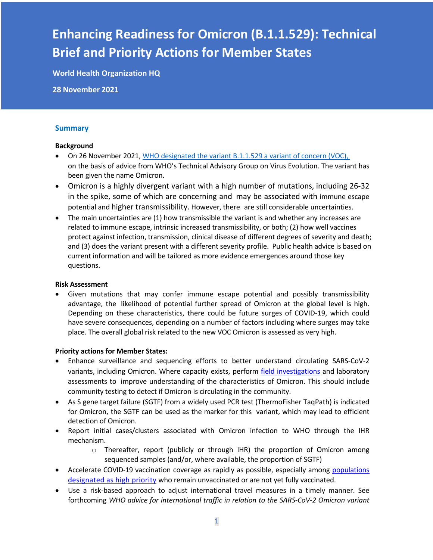# **Enhancing Readiness for Omicron (B.1.1.529): Technical Brief and Priority Actions for Member States**

**World Health Organization HQ**

**28 November 2021**

#### **Summary**

#### **Background**

- On 26 November 2021, WHO designated the variant B.1.1.529 a variant of concern (VOC), on the basis of advice from WHO's Technical Advisory Group on Virus Evolution. The variant has been given the name Omicron.
- Omicron is a highly divergent variant with a high number of mutations, including 26-32 in the spike, some of which are concerning and may be associated with immune escape potential and higher transmissibility. However, there are still considerable uncertainties.
- The main uncertainties are (1) how transmissible the variant is and whether any increases are related to immune escape, intrinsic increased transmissibility, or both; (2) how well vaccines protect against infection, transmission, clinical disease of different degrees of severity and death; and (3) does the variant present with a different severity profile. Public health advice is based on current information and will be tailored as more evidence emergences around those key questions.

#### **Risk Assessment**

• Given mutations that may confer immune escape potential and possibly transmissibility advantage, the likelihood of potential further spread of Omicron at the global level is high. Depending on these characteristics, there could be future surges of COVID-19, which could have severe consequences, depending on a number of factors including where surges may take place. The overall global risk related to the new VOC Omicron is assessed as very high.

#### **Priority actions for Member States:**

- Enhance surveillance and sequencing efforts to better understand circulating SARS-CoV-2 variants, including Omicron. Where capacity exists, perform field investigations and laboratory assessments to improve understanding of the characteristics of Omicron. This should include community testing to detect if Omicron is circulating in the community.
- As S gene target failure (SGTF) from a widely used PCR test (ThermoFisher TaqPath) is indicated for Omicron, the SGTF can be used as the marker for this variant, which may lead to efficient detection of Omicron.
- Report initial cases/clusters associated with Omicron infection to WHO through the IHR mechanism.
	- $\circ$  Thereafter, report (publicly or through IHR) the proportion of Omicron among sequenced samples (and/or, where available, the proportion of SGTF)
- Accelerate COVID-19 vaccination coverage as rapidly as possible, especially among populations designated as high priority who remain unvaccinated or are not yet fully vaccinated.
- Use a risk-based approach to adjust international travel measures in a timely manner. See forthcoming *WHO advice for international traffic in relation to the SARS-CoV-2 Omicron variant*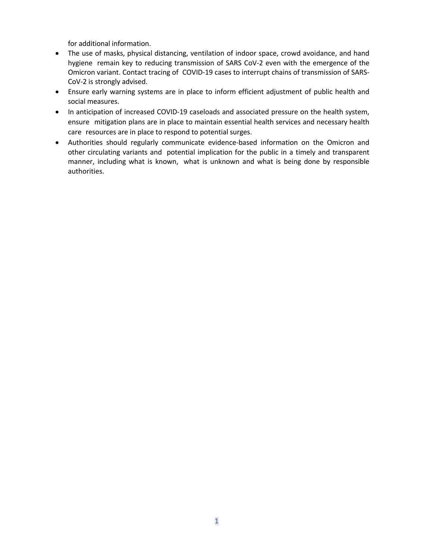for additional information.

- The use of masks, physical distancing, ventilation of indoor space, crowd avoidance, and hand hygiene remain key to reducing transmission of SARS CoV-2 even with the emergence of the Omicron variant. Contact tracing of COVID-19 cases to interrupt chains of transmission of SARS-CoV-2 is strongly advised.
- Ensure early warning systems are in place to inform efficient adjustment of public health and social measures.
- In anticipation of increased COVID-19 caseloads and associated pressure on the health system, ensure mitigation plans are in place to maintain essential health services and necessary health care resources are in place to respond to potential surges.
- Authorities should regularly communicate evidence-based information on the Omicron and other circulating variants and potential implication for the public in a timely and transparent manner, including what is known, what is unknown and what is being done by responsible authorities.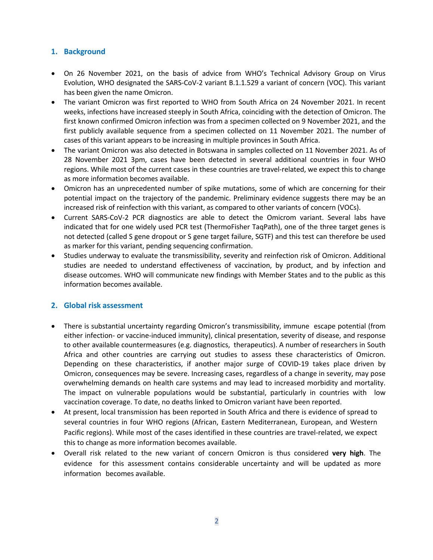## **1. Background**

- On 26 November 2021, on the basis of advice from WHO's Technical Advisory Group on Virus Evolution, WHO designated the SARS-CoV-2 variant B.1.1.529 a variant of concern (VOC). This variant has been given the name Omicron.
- The variant Omicron was first reported to WHO from South Africa on 24 November 2021. In recent weeks, infections have increased steeply in South Africa, coinciding with the detection of Omicron. The first known confirmed Omicron infection was from a specimen collected on 9 November 2021, and the first publicly available sequence from a specimen collected on 11 November 2021. The number of cases of this variant appears to be increasing in multiple provinces in South Africa.
- The variant Omicron was also detected in Botswana in samples collected on 11 November 2021. As of 28 November 2021 3pm, cases have been detected in several additional countries in four WHO regions. While most of the current cases in these countries are travel-related, we expect this to change as more information becomes available.
- Omicron has an unprecedented number of spike mutations, some of which are concerning for their potential impact on the trajectory of the pandemic. Preliminary evidence suggests there may be an increased risk of reinfection with this variant, as compared to other variants of concern (VOCs).
- Current SARS-CoV-2 PCR diagnostics are able to detect the Omicrom variant. Several labs have indicated that for one widely used PCR test (ThermoFisher TaqPath), one of the three target genes is not detected (called S gene dropout or S gene target failure, SGTF) and this test can therefore be used as marker for this variant, pending sequencing confirmation.
- Studies underway to evaluate the transmissibility, severity and reinfection risk of Omicron. Additional studies are needed to understand effectiveness of vaccination, by product, and by infection and disease outcomes. WHO will communicate new findings with Member States and to the public as this information becomes available.

## **2. Global risk assessment**

- There is substantial uncertainty regarding Omicron's transmissibility, immune escape potential (from either infection- or vaccine-induced immunity), clinical presentation, severity of disease, and response to other available countermeasures (e.g. diagnostics, therapeutics). A number of researchers in South Africa and other countries are carrying out studies to assess these characteristics of Omicron. Depending on these characteristics, if another major surge of COVID-19 takes place driven by Omicron, consequences may be severe. Increasing cases, regardless of a change in severity, may pose overwhelming demands on health care systems and may lead to increased morbidity and mortality. The impact on vulnerable populations would be substantial, particularly in countries with low vaccination coverage. To date, no deaths linked to Omicron variant have been reported.
- At present, local transmission has been reported in South Africa and there is evidence of spread to several countries in four WHO regions (African, Eastern Mediterranean, European, and Western Pacific regions). While most of the cases identified in these countries are travel-related, we expect this to change as more information becomes available.
- Overall risk related to the new variant of concern Omicron is thus considered **very high**. The evidence for this assessment contains considerable uncertainty and will be updated as more information becomes available.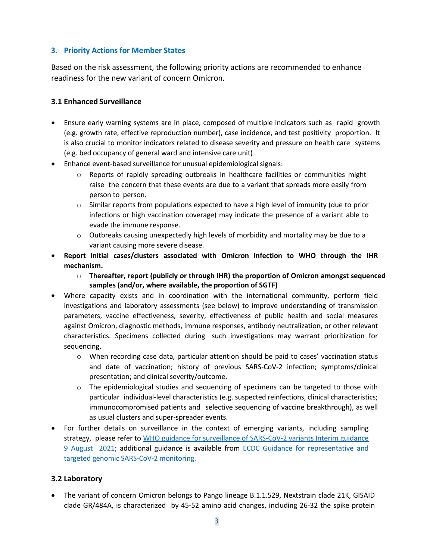## **3. Priority Actions for Member States**

Based on the risk assessment, the following priority actions are recommended to enhance readiness for the new variant of concern Omicron.

# **3.1 Enhanced Surveillance**

- Ensure early warning systems are in place, composed of multiple indicators such as rapid growth (e.g. growth rate, effective reproduction number), case incidence, and test positivity proportion. It is also crucial to monitor indicators related to disease severity and pressure on health care systems (e.g. bed occupancy of general ward and intensive care unit)
- Enhance event-based surveillance for unusual epidemiological signals:
	- o Reports of rapidly spreading outbreaks in healthcare facilities or communities might raise the concern that these events are due to a variant that spreads more easily from person to person.
	- $\circ$  Similar reports from populations expected to have a high level of immunity (due to prior infections or high vaccination coverage) may indicate the presence of a variant able to evade the immune response.
	- $\circ$  Outbreaks causing unexpectedly high levels of morbidity and mortality may be due to a variant causing more severe disease.
- **Report initial cases/clusters associated with Omicron infection to WHO through the IHR mechanism.**
	- o **Thereafter, report (publicly or through IHR) the proportion of Omicron amongst sequenced samples (and/or, where available, the proportion of SGTF)**
- Where capacity exists and in coordination with the international community, perform field investigations and laboratory assessments (see below) to improve understanding of transmission parameters, vaccine effectiveness, severity, effectiveness of public health and social measures against Omicron, diagnostic methods, immune responses, antibody neutralization, or other relevant characteristics. Specimens collected during such investigations may warrant prioritization for sequencing.
	- o When recording case data, particular attention should be paid to cases' vaccination status and date of vaccination; history of previous SARS-CoV-2 infection; symptoms/clinical presentation; and clinical severity/outcome.
	- $\circ$  The epidemiological studies and sequencing of specimens can be targeted to those with particular individual-level characteristics (e.g. suspected reinfections, clinical characteristics; immunocompromised patients and selective sequencing of vaccine breakthrough), as well as usual clusters and super-spreader events.
- For further details on surveillance in the context of emerging variants, including sampling strategy, please refer to WHO guidance for surveillance of SARS-CoV-2 variants Interim guidance 9 August 2021; additional guidance is available from ECDC Guidance for representative and targeted genomic SARS-CoV-2 monitoring.

# **3.2 Laboratory**

• The variant of concern Omicron belongs to Pango lineage B.1.1.529, Nextstrain clade 21K, GISAID clade GR/484A, is characterized by 45-52 amino acid changes, including 26-32 the spike protein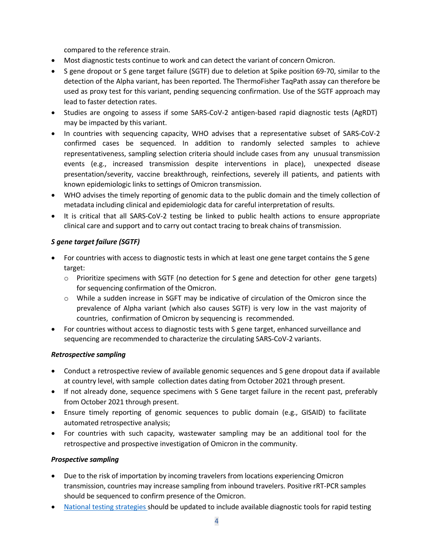compared to the reference strain.

- Most diagnostic tests continue to work and can detect the variant of concern Omicron.
- S gene dropout or S gene target failure (SGTF) due to deletion at Spike position 69-70, similar to the detection of the Alpha variant, has been reported. The ThermoFisher TaqPath assay can therefore be used as proxy test for this variant, pending sequencing confirmation. Use of the SGTF approach may lead to faster detection rates.
- Studies are ongoing to assess if some SARS-CoV-2 antigen-based rapid diagnostic tests (AgRDT) may be impacted by this variant.
- In countries with sequencing capacity, WHO advises that a representative subset of SARS-CoV-2 confirmed cases be sequenced. In addition to randomly selected samples to achieve representativeness, sampling selection criteria should include cases from any unusual transmission events (e.g., increased transmission despite interventions in place), unexpected disease presentation/severity, vaccine breakthrough, reinfections, severely ill patients, and patients with known epidemiologic links to settings of Omicron transmission.
- WHO advises the timely reporting of genomic data to the public domain and the timely collection of metadata including clinical and epidemiologic data for careful interpretation of results.
- It is critical that all SARS-CoV-2 testing be linked to public health actions to ensure appropriate clinical care and support and to carry out contact tracing to break chains of transmission.

# *S gene target failure (SGTF)*

- For countries with access to diagnostic tests in which at least one gene target contains the S gene target:
	- $\circ$  Prioritize specimens with SGTF (no detection for S gene and detection for other gene targets) for sequencing confirmation of the Omicron.
	- o While a sudden increase in SGFT may be indicative of circulation of the Omicron since the prevalence of Alpha variant (which also causes SGTF) is very low in the vast majority of countries, confirmation of Omicron by sequencing is recommended.
- For countries without access to diagnostic tests with S gene target, enhanced surveillance and sequencing are recommended to characterize the circulating SARS-CoV-2 variants.

## *Retrospective sampling*

- Conduct a retrospective review of available genomic sequences and S gene dropout data if available at country level, with sample collection dates dating from October 2021 through present.
- If not already done, sequence specimens with S Gene target failure in the recent past, preferably from October 2021 through present.
- Ensure timely reporting of genomic sequences to public domain (e.g., GISAID) to facilitate automated retrospective analysis;
- For countries with such capacity, wastewater sampling may be an additional tool for the retrospective and prospective investigation of Omicron in the community.

## *Prospective sampling*

- Due to the risk of importation by incoming travelers from locations experiencing Omicron transmission, countries may increase sampling from inbound travelers. Positive rRT-PCR samples should be sequenced to confirm presence of the Omicron.
- National testing strategies should be updated to include available diagnostic tools for rapid testing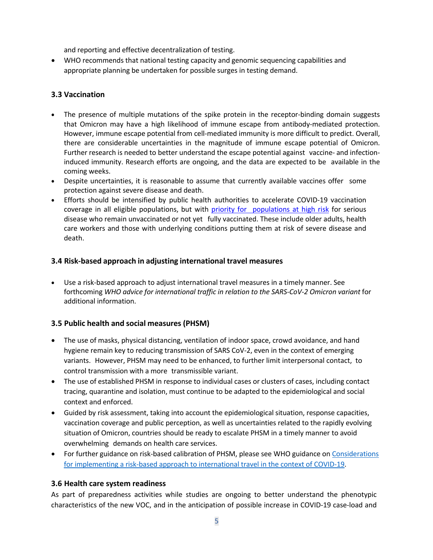and reporting and effective decentralization of testing.

• WHO recommends that national testing capacity and genomic sequencing capabilities and appropriate planning be undertaken for possible surges in testing demand.

## **3.3 Vaccination**

- The presence of multiple mutations of the spike protein in the receptor-binding domain suggests that Omicron may have a high likelihood of immune escape from antibody-mediated protection. However, immune escape potential from cell-mediated immunity is more difficult to predict. Overall, there are considerable uncertainties in the magnitude of immune escape potential of Omicron. Further research is needed to better understand the escape potential against vaccine- and infectioninduced immunity. Research efforts are ongoing, and the data are expected to be available in the coming weeks.
- Despite uncertainties, it is reasonable to assume that currently available vaccines offer some protection against severe disease and death.
- Efforts should be intensified by public health authorities to accelerate COVID-19 vaccination coverage in all eligible populations, but with priority for populations at high risk for serious disease who remain unvaccinated or not yet fully vaccinated. These include older adults, health care workers and those with underlying conditions putting them at risk of severe disease and death.

# **3.4 Risk-based approach in adjusting international travel measures**

• Use a risk-based approach to adjust international travel measures in a timely manner. See forthcoming *WHO advice for international traffic in relation to the SARS-CoV-2 Omicron variant* for additional information.

## **3.5 Public health and social measures (PHSM)**

- The use of masks, physical distancing, ventilation of indoor space, crowd avoidance, and hand hygiene remain key to reducing transmission of SARS CoV-2, even in the context of emerging variants. However, PHSM may need to be enhanced, to further limit interpersonal contact, to control transmission with a more transmissible variant.
- The use of established PHSM in response to individual cases or clusters of cases, including contact tracing, quarantine and isolation, must continue to be adapted to the epidemiological and social context and enforced.
- Guided by risk assessment, taking into account the epidemiological situation, response capacities, vaccination coverage and public perception, as well as uncertainties related to the rapidly evolving situation of Omicron, countries should be ready to escalate PHSM in a timely manner to avoid overwhelming demands on health care services.
- For further guidance on risk-based calibration of PHSM, please see WHO guidance on Considerations for implementing a risk-based approach to international travel in the context of COVID-19.

## **3.6 Health care system readiness**

As part of preparedness activities while studies are ongoing to better understand the phenotypic characteristics of the new VOC, and in the anticipation of possible increase in COVID-19 case-load and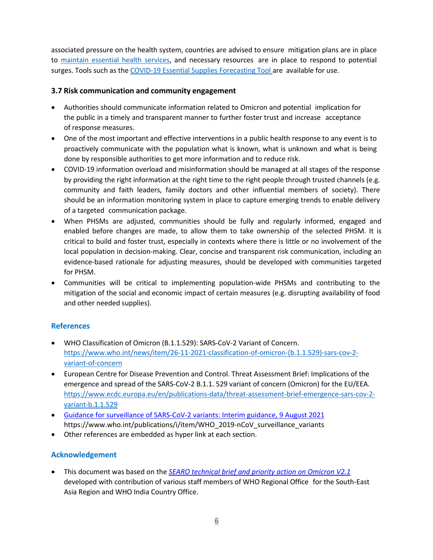associated pressure on the health system, countries are advised to ensure mitigation plans are in place to maintain essential health services, and necessary resources are in place to respond to potential surges. Tools such as the COVID-19 Essential Supplies Forecasting Tool are available for use.

## **3.7 Risk communication and community engagement**

- Authorities should communicate information related to Omicron and potential implication for the public in a timely and transparent manner to further foster trust and increase acceptance of response measures.
- One of the most important and effective interventions in a public health response to any event is to proactively communicate with the population what is known, what is unknown and what is being done by responsible authorities to get more information and to reduce risk.
- COVID-19 information overload and misinformation should be managed at all stages of the response by providing the right information at the right time to the right people through trusted channels (e.g. community and faith leaders, family doctors and other influential members of society). There should be an information monitoring system in place to capture emerging trends to enable delivery of a targeted communication package.
- When PHSMs are adjusted, communities should be fully and regularly informed, engaged and enabled before changes are made, to allow them to take ownership of the selected PHSM. It is critical to build and foster trust, especially in contexts where there is little or no involvement of the local population in decision-making. Clear, concise and transparent risk communication, including an evidence-based rationale for adjusting measures, should be developed with communities targeted for PHSM.
- Communities will be critical to implementing population-wide PHSMs and contributing to the mitigation of the social and economic impact of certain measures (e.g. disrupting availability of food and other needed supplies).

# **References**

- WHO Classification of Omicron (B.1.1.529): SARS-CoV-2 Variant of Concern. https://www.who.int/news/item/26-11-2021-classification-of-omicron-(b.1.1.529)-sars-cov-2variant-of-concern
- European Centre for Disease Prevention and Control. Threat Assessment Brief: Implications of the emergence and spread of the SARS-CoV-2 B.1.1. 529 variant of concern (Omicron) for the EU/EEA. https://www.ecdc.europa.eu/en/publications-data/threat-assessment-brief-emergence-sars-cov-2 variant-b.1.1.529
- Guidance for surveillance of SARS-CoV-2 variants: Interim guidance, 9 August 2021 https://www.who.int/publications/i/item/WHO\_2019-nCoV\_surveillance\_variants
- Other references are embedded as hyper link at each section.

# **Acknowledgement**

• This document was based on the *SEARO technical brief and priority action on Omicron V2.1* developed with contribution of various staff members of WHO Regional Office for the South-East Asia Region and WHO India Country Office.